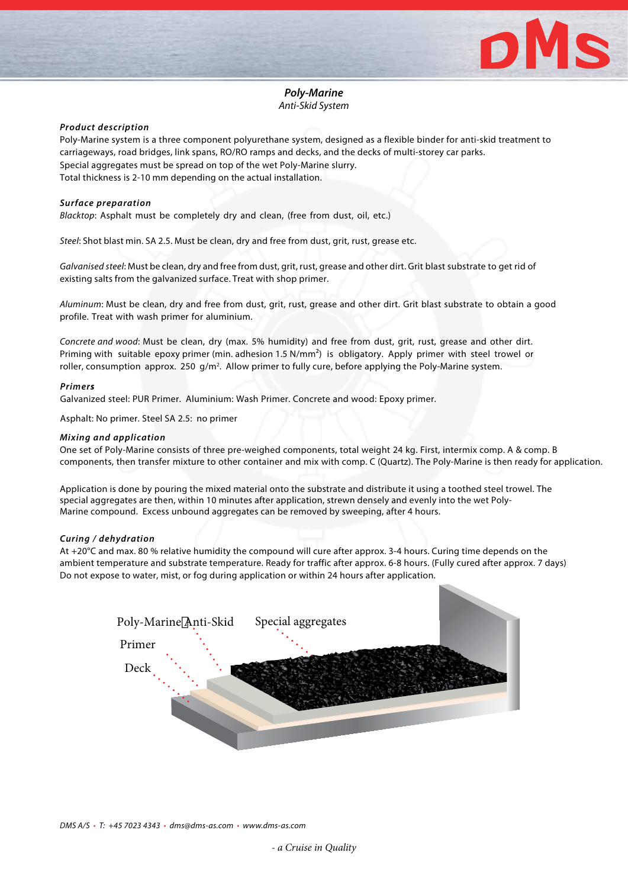

## *Poly-Marine Anti-Skid System*

### *Product description*

Poly-Marine system is a three component polyurethane system, designed as a flexible binder for anti-skid treatment to carriageways, road bridges, link spans, RO/RO ramps and decks, and the decks of multi-storey car parks. Special aggregates must be spread on top of the wet Poly-Marine slurry. Total thickness is 2-10 mm depending on the actual installation.

### *Surface preparation*

*Blacktop*: Asphalt must be completely dry and clean, (free from dust, oil, etc.)

*Steel*: Shot blast min. SA 2.5. Must be clean, dry and free from dust, grit, rust, grease etc.

*Galvanised steel*: Must be clean, dry and free from dust, grit, rust, grease and other dirt. Grit blast substrate to get rid of existing salts from the galvanized surface. Treat with shop primer.

*Aluminum*: Must be clean, dry and free from dust, grit, rust, grease and other dirt. Grit blast substrate to obtain a good profile. Treat with wash primer for aluminium.

*Concrete and wood*: Must be clean, dry (max. 5% humidity) and free from dust, grit, rust, grease and other dirt. Priming with suitable epoxy primer (min. adhesion 1.5 N/mm²) is obligatory. Apply primer with steel trowel or roller, consumption approx. 250 g/m<sup>2</sup>. Allow primer to fully cure, before applying the Poly-Marine system.

### *Primer***s**

Galvanized steel: PUR Primer. Aluminium: Wash Primer. Concrete and wood: Epoxy primer.

Asphalt: No primer. Steel SA 2.5: no primer

### *Mixing and application*

One set of Poly-Marine consists of three pre-weighed components, total weight 24 kg. First, intermix comp. A & comp. B components, then transfer mixture to other container and mix with comp. C (Quartz). The Poly-Marine is then ready for application.

Application is done by pouring the mixed material onto the substrate and distribute it using a toothed steel trowel. The special aggregates are then, within 10 minutes after application, strewn densely and evenly into the wet Poly-Marine compound. Excess unbound aggregates can be removed by sweeping, after 4 hours.

### *Curing / dehydration*

At +20°C and max. 80 % relative humidity the compound will cure after approx. 3-4 hours. Curing time depends on the ambient temperature and substrate temperature. Ready for traffic after approx. 6-8 hours. (Fully cured after approx. 7 days) Do not expose to water, mist, or fog during application or within 24 hours after application.